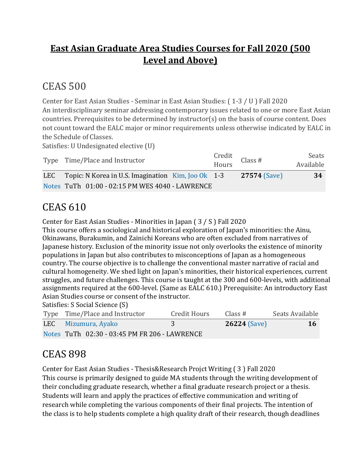#### **East Asian Graduate Area Studies Courses for Fall 2020 (500 Level and Above)**

## CEAS 500

Center for East Asian Studies - Seminar in East Asian Studies: ( 1-3 / U ) Fall 2020 An interdisciplinary seminar addressing contemporary issues related to one or more East Asian countries. Prerequisites to be determined by instructor(s) on the basis of course content. Does not count toward the EALC major or minor requirements unless otherwise indicated by EALC in the Schedule of Classes.

Satisfies: U Undesignated elective (U)

| Type Time/Place and Instructor                              | Credit<br>Hours Class # | Seats<br>Available |
|-------------------------------------------------------------|-------------------------|--------------------|
| LEC Topic: N Korea in U.S. Imagination $\,$ Kim, Joo Ok 1-3 | <b>27574 (Save)</b>     | 34                 |
| Notes TuTh 01:00 - 02:15 PM WES 4040 - LAWRENCE             |                         |                    |

## CEAS 610

Center for East Asian Studies - Minorities in Japan ( 3 / S ) Fall 2020

This course offers a sociological and historical exploration of Japan's minorities: the Ainu, Okinawans, Burakumin, and Zainichi Koreans who are often excluded from narratives of Japanese history. Exclusion of the minority issue not only overlooks the existence of minority populations in Japan but also contributes to misconceptions of Japan as a homogeneous country. The course objective is to challenge the conventional master narrative of racial and cultural homogeneity. We shed light on Japan's minorities, their historical experiences, current struggles, and future challenges. This course is taught at the 300 and 600-levels, with additional assignments required at the 600-level. (Same as EALC 610.) Prerequisite: An introductory East Asian Studies course or consent of the instructor.

Satisfies: S Social Science (S)

| Type Time/Place and Instructor                | Credit Hours | Class #             | Seats Available |
|-----------------------------------------------|--------------|---------------------|-----------------|
| LEC Mizumura, Ayako                           |              | <b>26224 (Save)</b> | <b>16</b>       |
| Notes TuTh 02:30 - 03:45 PM FR 206 - LAWRENCE |              |                     |                 |

## CEAS 898

Center for East Asian Studies - Thesis&Research Projct Writing ( 3 ) Fall 2020 This course is primarily designed to guide MA students through the writing development of their concluding graduate research, whether a final graduate research project or a thesis. Students will learn and apply the practices of effective communication and writing of research while completing the various components of their final projects. The intention of the class is to help students complete a high quality draft of their research, though deadlines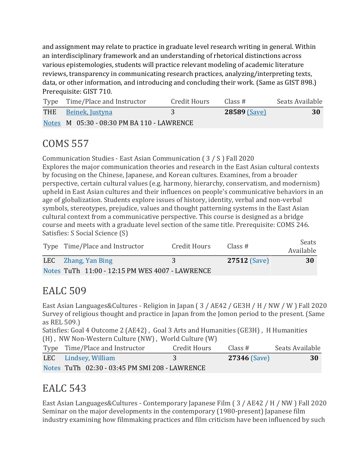and assignment may relate to practice in graduate level research writing in general. Within an interdisciplinary framework and an understanding of rhetorical distinctions across various epistemologies, students will practice relevant modeling of academic literature reviews, transparency in communicating research practices, analyzing/interpreting texts, data, or other information, and introducing and concluding their work. (Same as GIST 898.) Prerequisite: GIST 710.

| Type Time/Place and Instructor             | Credit Hours | Class #             | Seats Available |
|--------------------------------------------|--------------|---------------------|-----------------|
| THE Beinek, Justyna                        |              | <b>28589 (Save)</b> | 30              |
| Notes M 05:30 - 08:30 PM BA 110 - LAWRENCE |              |                     |                 |

## COMS 557

Communication Studies - East Asian Communication ( 3 / S ) Fall 2020 Explores the major communication theories and research in the East Asian cultural contexts by focusing on the Chinese, Japanese, and Korean cultures. Examines, from a broader perspective, certain cultural values (e.g. harmony, hierarchy, conservatism, and modernism) upheld in East Asian cultures and their influences on people's communicative behaviors in an age of globalization. Students explore issues of history, identity, verbal and non-verbal symbols, stereotypes, prejudice, values and thought patterning systems in the East Asian cultural context from a communicative perspective. This course is designed as a bridge course and meets with a graduate level section of the same title. Prerequisite: COMS 246. Satisfies: S Social Science (S)

| Type Time/Place and Instructor                  | Credit Hours  | Class#              | Seats<br>Available |
|-------------------------------------------------|---------------|---------------------|--------------------|
| LEC Zhang, Yan Bing                             | $\mathcal{R}$ | <b>27512 (Save)</b> | 30                 |
| Notes TuTh 11:00 - 12:15 PM WES 4007 - LAWRENCE |               |                     |                    |

#### EALC 509

East Asian Languages&Cultures - Religion in Japan ( 3 / AE42 / GE3H / H / NW / W ) Fall 2020 Survey of religious thought and practice in Japan from the Jomon period to the present. (Same as REL 509.)

Satisfies: Goal 4 Outcome 2 (AE42) , Goal 3 Arts and Humanities (GE3H) , H Humanities (H) , NW Non-Western Culture (NW) , World Culture (W)

| Type Time/Place and Instructor                 | Credit Hours | Class #             | Seats Available |
|------------------------------------------------|--------------|---------------------|-----------------|
| LEC Lindsey, William                           | 3            | <b>27346 (Save)</b> | 30              |
| Notes TuTh 02:30 - 03:45 PM SMI 208 - LAWRENCE |              |                     |                 |

#### EALC 543

East Asian Languages&Cultures - Contemporary Japanese Film ( 3 / AE42 / H / NW ) Fall 2020 Seminar on the major developments in the contemporary (1980-present) Japanese film industry examining how filmmaking practices and film criticism have been influenced by such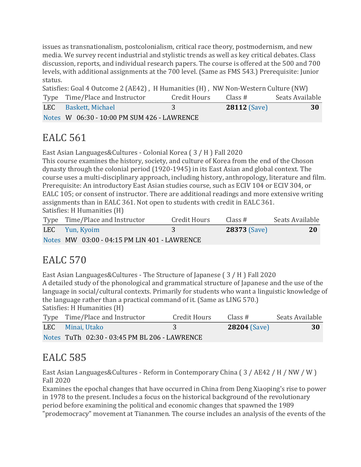issues as transnationalism, postcolonialism, critical race theory, postmodernism, and new media. We survey recent industrial and stylistic trends as well as key critical debates. Class discussion, reports, and individual research papers. The course is offered at the 500 and 700 levels, with additional assignments at the 700 level. (Same as FMS 543.) Prerequisite: Junior status.

| Satisfies: Goal 4 Outcome 2 (AE42), H Humanities (H), NW Non-Western Culture (NW) |                                             |              |                     |                 |
|-----------------------------------------------------------------------------------|---------------------------------------------|--------------|---------------------|-----------------|
|                                                                                   | Type Time/Place and Instructor              | Credit Hours | Class #             | Seats Available |
|                                                                                   | LEC Baskett, Michael                        | 3            | <b>28112 (Save)</b> | -30             |
|                                                                                   | Notes W 06:30 - 10:00 PM SUM 426 - LAWRENCE |              |                     |                 |

## EALC 561

East Asian Languages&Cultures - Colonial Korea ( 3 / H ) Fall 2020

This course examines the history, society, and culture of Korea from the end of the Choson dynasty through the colonial period (1920-1945) in its East Asian and global context. The course uses a multi-disciplinary approach, including history, anthropology, literature and film. Prerequisite: An introductory East Asian studies course, such as ECIV 104 or ECIV 304, or EALC 105; or consent of instructor. There are additional readings and more extensive writing assignments than in EALC 361. Not open to students with credit in EALC 361. Satisfies: H Humanities (H)

| Type Time/Place and Instructor               | Credit Hours | Class $#$           | Seats Available |
|----------------------------------------------|--------------|---------------------|-----------------|
| LEC Yun, Kyoim                               |              | <b>28373 (Save)</b> | <b>20</b>       |
| Notes MW 03:00 - 04:15 PM LIN 401 - LAWRENCE |              |                     |                 |

## EALC 570

East Asian Languages&Cultures - The Structure of Japanese (3 / H) Fall 2020 A detailed study of the phonological and grammatical structure of Japanese and the use of the language in social/cultural contexts. Primarily for students who want a linguistic knowledge of the language rather than a practical command of it. (Same as LING 570.) Satisfies: H Humanities (H)

| $5a$ usiics. II Humaniucs (II)                |              |                     |                 |
|-----------------------------------------------|--------------|---------------------|-----------------|
| Type Time/Place and Instructor                | Credit Hours | Class #             | Seats Available |
| LEC Minai, Utako                              |              | <b>28204 (Save)</b> | 30              |
| Notes TuTh 02:30 - 03:45 PM BL 206 - LAWRENCE |              |                     |                 |

## EALC 585

East Asian Languages&Cultures - Reform in Contemporary China ( 3 / AE42 / H / NW / W ) Fall 2020

Examines the epochal changes that have occurred in China from Deng Xiaoping's rise to power in 1978 to the present. Includes a focus on the historical background of the revolutionary period before examining the political and economic changes that spawned the 1989 "prodemocracy" movement at Tiananmen. The course includes an analysis of the events of the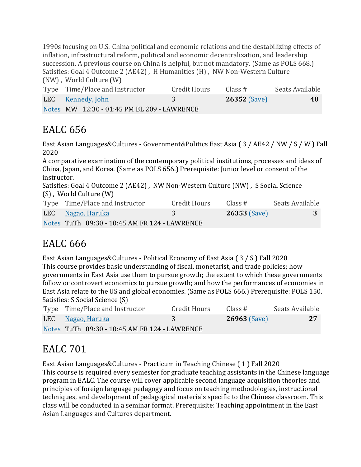1990s focusing on U.S.-China political and economic relations and the destabilizing effects of inflation, infrastructural reform, political and economic decentralization, and leadership succession. A previous course on China is helpful, but not mandatory. (Same as POLS 668.) Satisfies: Goal 4 Outcome 2 (AE42) , H Humanities (H) , NW Non-Western Culture (NW) , World Culture (W)

| Type Time/Place and Instructor              | Credit Hours | Class #             | Seats Available |
|---------------------------------------------|--------------|---------------------|-----------------|
| LEC Kennedy, John                           |              | <b>26352 (Save)</b> | 40              |
| Notes MW 12:30 - 01:45 PM BL 209 - LAWRENCE |              |                     |                 |

#### EALC 656

East Asian Languages&Cultures - Government&Politics East Asia ( 3 / AE42 / NW / S / W ) Fall 2020

A comparative examination of the contemporary political institutions, processes and ideas of China, Japan, and Korea. (Same as POLS 656.) Prerequisite: Junior level or consent of the instructor.

Satisfies: Goal 4 Outcome 2 (AE42) , NW Non-Western Culture (NW) , S Social Science (S) , World Culture (W)

| Type Time/Place and Instructor                | Credit Hours | Class #        | Seats Available |
|-----------------------------------------------|--------------|----------------|-----------------|
| LEC Nagao, Haruka                             | 3            | $26353$ (Save) |                 |
| Notes TuTh 09:30 - 10:45 AM FR 124 - LAWRENCE |              |                |                 |

## EALC 666

East Asian Languages&Cultures - Political Economy of East Asia ( 3 / S ) Fall 2020 This course provides basic understanding of fiscal, monetarist, and trade policies; how governments in East Asia use them to pursue growth; the extent to which these governments follow or controvert economics to pursue growth; and how the performances of economies in East Asia relate to the US and global economies. (Same as POLS 666.) Prerequisite: POLS 150. Satisfies: S Social Science (S)

| Type Time/Place and Instructor                | <b>Credit Hours</b> | Class #             | Seats Available |
|-----------------------------------------------|---------------------|---------------------|-----------------|
| LEC Nagao, Haruka                             |                     | <b>26963 (Save)</b> | 27              |
| Notes TuTh 09:30 - 10:45 AM FR 124 - LAWRENCE |                     |                     |                 |

## EALC 701

East Asian Languages&Cultures - Practicum in Teaching Chinese ( 1 ) Fall 2020 This course is required every semester for graduate teaching assistants in the Chinese language program in EALC. The course will cover applicable second language acquisition theories and principles of foreign language pedagogy and focus on teaching methodologies, instructional techniques, and development of pedagogical materials specific to the Chinese classroom. This class will be conducted in a seminar format. Prerequisite: Teaching appointment in the East Asian Languages and Cultures department.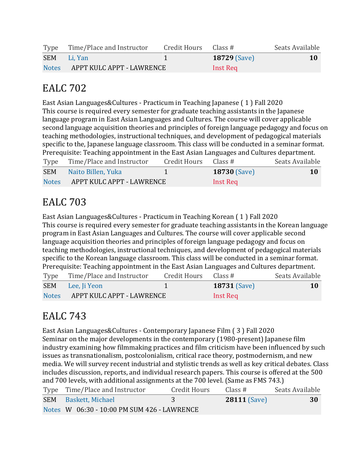|              | Type Time/Place and Instructor | Credit Hours Class # |                     | Seats Available |
|--------------|--------------------------------|----------------------|---------------------|-----------------|
|              | SEM Li, Yan                    |                      | <b>18729 (Save)</b> | 10              |
| <b>Notes</b> | APPT KULC APPT - LAWRENCE      |                      | Inst Req            |                 |

#### EALC 702

East Asian Languages&Cultures - Practicum in Teaching Japanese ( 1 ) Fall 2020 This course is required every semester for graduate teaching assistants in the Japanese language program in East Asian Languages and Cultures. The course will cover applicable second language acquisition theories and principles of foreign language pedagogy and focus on teaching methodologies, instructional techniques, and development of pedagogical materials specific to the, Japanese language classroom. This class will be conducted in a seminar format. Prerequisite: Teaching appointment in the East Asian Languages and Cultures department. Type Time/Place and Instructor Credit Hours Class # Seats Available SEM Naito [Billen,](https://classes.ku.edu/Classes/InstructorLink.action?searchTerm=QktPNUhNdlBjaDV4bFFtb1pSVkx0Zz09) Yuka 1 **18730** [\(Save\)](javascript:;) **10** [Notes](javascript:;) APPT KULC APPT - LAWRENCE Inst Req

## EALC 703

East Asian Languages&Cultures - Practicum in Teaching Korean ( 1 ) Fall 2020 This course is required every semester for graduate teaching assistants in the Korean language program in East Asian Languages and Cultures. The course will cover applicable second language acquisition theories and principles of foreign language pedagogy and focus on teaching methodologies, instructional techniques, and development of pedagogical materials specific to the Korean language classroom. This class will be conducted in a seminar format. Prerequisite: Teaching appointment in the East Asian Languages and Cultures department.

| Type         | Time/Place and Instructor | Credit Hours | Class #             | Seats Available |
|--------------|---------------------------|--------------|---------------------|-----------------|
|              | SEM Lee, Ji Yeon          |              | <b>18731 (Save)</b> | <b>10</b>       |
| <b>Notes</b> | APPT KULC APPT - LAWRENCE |              | Inst Req            |                 |

#### EALC 743

East Asian Languages&Cultures - Contemporary Japanese Film ( 3 ) Fall 2020 Seminar on the major developments in the contemporary (1980-present) Japanese film industry examining how filmmaking practices and film criticism have been influenced by such issues as transnationalism, postcolonialism, critical race theory, postmodernism, and new media. We will survey recent industrial and stylistic trends as well as key critical debates. Class includes discussion, reports, and individual research papers. This course is offered at the 500 and 700 levels, with additional assignments at the 700 level. (Same as FMS 743.)

| Type Time/Place and Instructor              | Credit Hours | Class #             | Seats Available |
|---------------------------------------------|--------------|---------------------|-----------------|
| <b>SEM</b> Baskett, Michael                 |              | <b>28111 (Save)</b> | 30              |
| Notes W 06:30 - 10:00 PM SUM 426 - LAWRENCE |              |                     |                 |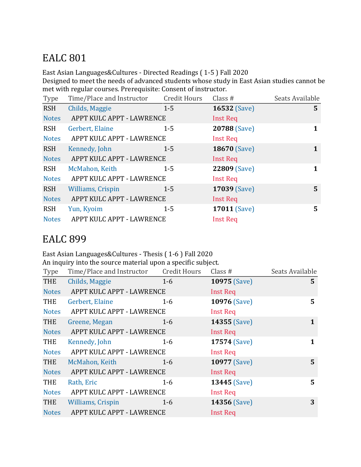## EALC 801

East Asian Languages&Cultures - Directed Readings ( 1-5 ) Fall 2020

Designed to meet the needs of advanced students whose study in East Asian studies cannot be met with regular courses. Prerequisite: Consent of instructor.

| Type         | Time/Place and Instructor | <b>Credit Hours</b> | Class #             | Seats Available |
|--------------|---------------------------|---------------------|---------------------|-----------------|
| <b>RSH</b>   | Childs, Maggie            | $1 - 5$             | <b>16532 (Save)</b> | 5               |
| <b>Notes</b> | APPT KULC APPT - LAWRENCE |                     | <b>Inst Req</b>     |                 |
| <b>RSH</b>   | Gerbert, Elaine           | $1 - 5$             | 20788 (Save)        | 1               |
| <b>Notes</b> | APPT KULC APPT - LAWRENCE |                     | <b>Inst Req</b>     |                 |
| <b>RSH</b>   | Kennedy, John             | $1 - 5$             | <b>18670 (Save)</b> | 1               |
| <b>Notes</b> | APPT KULC APPT - LAWRENCE |                     | <b>Inst Req</b>     |                 |
| <b>RSH</b>   | McMahon, Keith            | $1 - 5$             | 22809 (Save)        | 1               |
| <b>Notes</b> | APPT KULC APPT - LAWRENCE |                     | <b>Inst Req</b>     |                 |
| <b>RSH</b>   | <b>Williams, Crispin</b>  | $1 - 5$             | <b>17039 (Save)</b> | 5               |
| <b>Notes</b> | APPT KULC APPT - LAWRENCE |                     | <b>Inst Req</b>     |                 |
| <b>RSH</b>   | Yun, Kyoim                | $1 - 5$             | <b>17011 (Save)</b> | 5               |
| <b>Notes</b> | APPT KULC APPT - LAWRENCE |                     | <b>Inst Req</b>     |                 |

#### EALC 899

#### East Asian Languages&Cultures - Thesis ( 1-6 ) Fall 2020 An inquiry into the source material upon a specific subject.

| Type         | Time/Place and Instructor Credit Hours |         | Class $#$           | Seats Available |
|--------------|----------------------------------------|---------|---------------------|-----------------|
| THE          | Childs, Maggie                         | $1 - 6$ | <b>10975 (Save)</b> | 5               |
| <b>Notes</b> | APPT KULC APPT - LAWRENCE              |         | Inst Req            |                 |
| THE          | Gerbert, Elaine                        | $1 - 6$ | <b>10976 (Save)</b> | 5               |
| <b>Notes</b> | APPT KULC APPT - LAWRENCE              |         | <b>Inst Req</b>     |                 |
| <b>THE</b>   | Greene, Megan                          | $1 - 6$ | 14355 (Save)        | $\mathbf 1$     |
| <b>Notes</b> | APPT KULC APPT - LAWRENCE              |         | <b>Inst Req</b>     |                 |
| <b>THE</b>   | Kennedy, John                          | $1 - 6$ | 17574 (Save)        | 1               |
| <b>Notes</b> | APPT KULC APPT - LAWRENCE              |         | <b>Inst Req</b>     |                 |
| THE          | McMahon, Keith                         | $1 - 6$ | <b>10977</b> (Save) | 5 <sup>5</sup>  |
| <b>Notes</b> | APPT KULC APPT - LAWRENCE              |         | Inst Req            |                 |
| <b>THE</b>   | Rath, Eric                             | 1-6     | <b>13445 (Save)</b> | 5               |
| <b>Notes</b> | APPT KULC APPT - LAWRENCE              |         | <b>Inst Req</b>     |                 |
| THE          | <b>Williams, Crispin</b>               | $1 - 6$ | 14356 (Save)        | 3               |
| <b>Notes</b> | APPT KULC APPT - LAWRENCE              |         | <b>Inst Req</b>     |                 |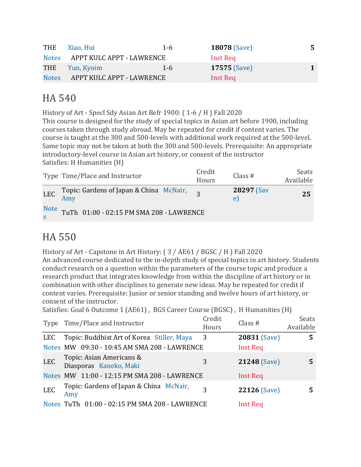| THE          | Xiao, Hui                 | $1 - 6$ | <b>18078 (Save)</b> | 5. |
|--------------|---------------------------|---------|---------------------|----|
| <b>Notes</b> | APPT KULC APPT - LAWRENCE |         | Inst Req            |    |
|              | THE Yun, Kyoim            | $1 - 6$ | <b>17575 (Save)</b> |    |
| <b>Notes</b> | APPT KULC APPT - LAWRENCE |         | Inst Req            |    |

#### HA 540

History of Art - Specl Sdy Asian Art Befr 1900: ( 1-6 / H ) Fall 2020 This course is designed for the study of special topics in Asian art before 1900, including courses taken through study abroad. May be repeated for credit if content varies. The course is taught at the 300 and 500-levels with additional work required at the 500-level. Same topic may not be taken at both the 300 and 500-levels. Prerequisite: An appropriate introductory-level course in Asian art history, or consent of the instructor Satisfies: H Humanities (H)

|           | Type Time/Place and Instructor              | Credit<br>Hours | Class $#$                 | Seats<br>Available |
|-----------|---------------------------------------------|-----------------|---------------------------|--------------------|
|           | LEC Topic: Gardens of Japan & China McNair, |                 | <b>28297 (Sav)</b><br>e l | 25                 |
| Note<br>s | TuTh 01:00 - 02:15 PM SMA 208 - LAWRENCE    |                 |                           |                    |

## HA 550

History of Art - Capstone in Art History: ( 3 / AE61 / BGSC / H ) Fall 2020

An advanced course dedicated to the in-depth study of special topics in art history. Students conduct research on a question within the parameters of the course topic and produce a research product that integrates knowledge from within the discipline of art history or in combination with other disciplines to generate new ideas. May be repeated for credit if content varies. Prerequisite: Junior or senior standing and twelve hours of art history, or consent of the instructor.

Satisfies: Goal 6 Outcome 1 (AE61) , BGS Career Course (BGSC) , H Humanities (H)

|            | Type Time/Place and Instructor                     | Credit<br>Hours | Class $#$           | <b>Seats</b><br>Available |
|------------|----------------------------------------------------|-----------------|---------------------|---------------------------|
| <b>LEC</b> | Topic: Buddhist Art of Korea Stiller, Maya         | 3               | <b>20831 (Save)</b> | 5                         |
|            | Notes MW 09:30 - 10:45 AM SMA 208 - LAWRENCE       |                 | <b>Inst Req</b>     |                           |
| <b>LEC</b> | Topic: Asian Americans &<br>Diasporas Kaneko, Maki | 3               | <b>21248 (Save)</b> |                           |
|            | Notes MW 11:00 - 12:15 PM SMA 208 - LAWRENCE       |                 | Inst Req            |                           |
| <b>LEC</b> | Topic: Gardens of Japan & China McNair,<br>Amy     | 3               | <b>22126 (Save)</b> |                           |
|            | Notes TuTh 01:00 - 02:15 PM SMA 208 - LAWRENCE     |                 | <b>Inst Req</b>     |                           |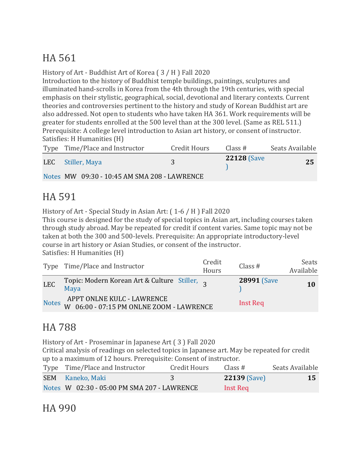# HA 561

#### History of Art - Buddhist Art of Korea ( 3 / H ) Fall 2020

Introduction to the history of Buddhist temple buildings, paintings, sculptures and illuminated hand-scrolls in Korea from the 4th through the 19th centuries, with special emphasis on their stylistic, geographical, social, devotional and literary contexts. Current theories and controversies pertinent to the history and study of Korean Buddhist art are also addressed. Not open to students who have taken HA 361. Work requirements will be greater for students enrolled at the 500 level than at the 300 level. (Same as REL 511.) Prerequisite: A college level introduction to Asian art history, or consent of instructor. Satisfies: H Humanities (H)

| Type Time/Place and Instructor               | Credit Hours | Class #            | Seats Available |
|----------------------------------------------|--------------|--------------------|-----------------|
| LEC Stiller, Maya                            |              | <b>22128 (Save</b> | 25              |
| Notes MW 09:30 - 10:45 AM SMA 208 - LAWRENCE |              |                    |                 |

## HA 591

History of Art - Special Study in Asian Art: ( 1-6 / H ) Fall 2020

This course is designed for the study of special topics in Asian art, including courses taken through study abroad. May be repeated for credit if content varies. Same topic may not be taken at both the 300 and 500-levels. Prerequisite: An appropriate introductory-level course in art history or Asian Studies, or consent of the instructor. Satisfies: H Humanities (H)

|              | Type Time/Place and Instructor                                         | Credit<br>Hours | Class $#$          | Seats<br>Available |
|--------------|------------------------------------------------------------------------|-----------------|--------------------|--------------------|
| <b>LEC</b>   | Topic: Modern Korean Art & Culture Stiller,<br>Maya                    |                 | <b>28991 (Save</b> | 10                 |
| <b>Notes</b> | APPT ONLNE KULC - LAWRENCE<br>W 06:00 - 07:15 PM ONLNE ZOOM - LAWRENCE |                 | Inst Req           |                    |

## HA 788

History of Art - Proseminar in Japanese Art ( 3 ) Fall 2020

Critical analysis of readings on selected topics in Japanese art. May be repeated for credit up to a maximum of 12 hours. Prerequisite: Consent of instructor.

| Type Time/Place and Instructor              | Credit Hours | Class $#$           | Seats Available |
|---------------------------------------------|--------------|---------------------|-----------------|
| SEM Kaneko, Maki                            |              | <b>22139 (Save)</b> | 15              |
| Notes W 02:30 - 05:00 PM SMA 207 - LAWRENCE |              | Inst Req            |                 |

#### HA 990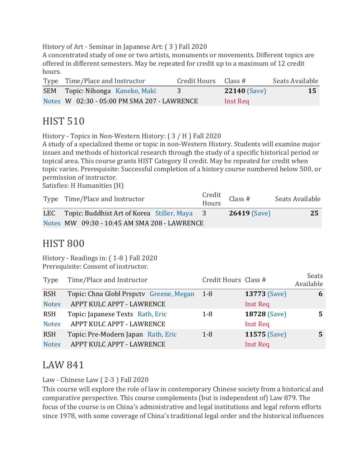History of Art - Seminar in Japanese Art: ( 3 ) Fall 2020

A concentrated study of one or two artists, monuments or movements. Different topics are offered in different semesters. May be repeated for credit up to a maximum of 12 credit hours.

| Type Time/Place and Instructor              | Credit Hours Class # |                     | Seats Available |
|---------------------------------------------|----------------------|---------------------|-----------------|
| SEM Topic: Nihonga Kaneko, Maki             |                      | <b>22140 (Save)</b> | 15              |
| Notes W 02:30 - 05:00 PM SMA 207 - LAWRENCE |                      | Inst Req            |                 |

#### HIST 510

History - Topics in Non-Western History: ( 3 / H ) Fall 2020

A study of a specialized theme or topic in non-Western History. Students will examine major issues and methods of historical research through the study of a specific historical period or topical area. This course grants HIST Category II credit. May be repeated for credit when topic varies. Prerequisite: Successful completion of a history course numbered below 500, or permission of instructor.

Satisfies: H Humanities (H)

| Type Time/Place and Instructor                   | Credit<br>Hours Class # | Seats Available |
|--------------------------------------------------|-------------------------|-----------------|
| LEC Topic: Buddhist Art of Korea Stiller, Maya 3 | <b>26419 (Save)</b>     | 25              |
| Notes MW 09:30 - 10:45 AM SMA 208 - LAWRENCE     |                         |                 |

#### HIST 800

History - Readings in: ( 1-8 ) Fall 2020 Prerequisite: Consent of instructor.

| Type         | Time/Place and Instructor               | Credit Hours Class # |                     | <b>Seats</b><br>Available |
|--------------|-----------------------------------------|----------------------|---------------------|---------------------------|
| <b>RSH</b>   | Topic: Chna Globl Prspctv Greene, Megan | $1-8$                | <b>13773 (Save)</b> | 6                         |
| <b>Notes</b> | APPT KULC APPT - LAWRENCE               |                      | <b>Inst Req</b>     |                           |
| <b>RSH</b>   | Topic: Japanese Texts Rath, Eric        | $1-8$                | 18728 (Save)        | 5                         |
| <b>Notes</b> | APPT KULC APPT - LAWRENCE               |                      | <b>Inst Req</b>     |                           |
| <b>RSH</b>   | Topic: Pre-Modern Japan Rath, Eric      | $1 - 8$              | 11575 (Save)        | 5                         |
| <b>Notes</b> | APPT KULC APPT - LAWRENCE               |                      | <b>Inst Req</b>     |                           |

#### LAW 841

Law - Chinese Law ( 2-3 ) Fall 2020

This course will explore the role of law in contemporary Chinese society from a historical and comparative perspective. This course complements (but is independent of) Law 879. The focus of the course is on China's administrative and legal institutions and legal reform efforts since 1978, with some coverage of China's traditional legal order and the historical influences